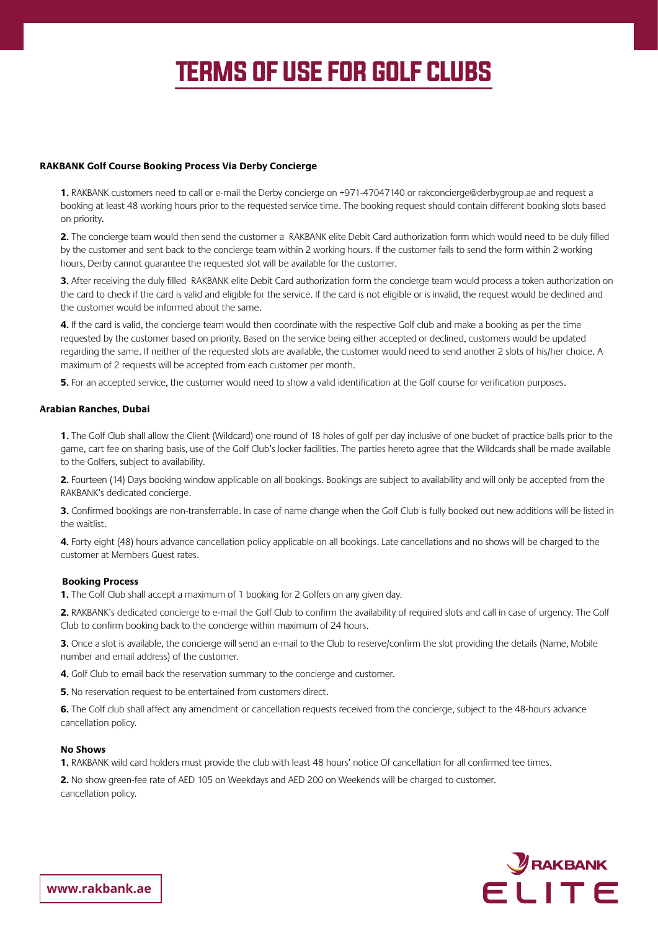# **TERMS OF USE FOR GOLF CLUBS**

## **RAKBANK Golf Course Booking Process Via Derby Concierge**

1. RAKBANK customers need to call or e-mail the Derby concierge on +971-47047140 or rakconcierge@derbygroup.ae and reguest a booking at least 48 working hours prior to the requested service time. The booking request should contain different booking slots based on priority.

**2.** The concierge team would then send the customer a RAKBANK elite Debit Card authorization form which would need to be duly filled by the customer and sent back to the concierge team within 2 working hours. If the customer fails to send the form within 2 working hours. Derby cannot quarantee the requested slot will be available for the customer.

3. After receiving the duly filled RAKBANK elite Debit Card authorization form the concierge team would process a token authorization on the card to check if the card is valid and eligible for the service. If the card is not eligible or is invalid, the request would be declined and the customer would be informed about the same.

4. If the card is valid, the concierge team would then coordinate with the respective Golf club and make a booking as per the time requested by the customer based on priority. Based on the service being either accepted or declined, customers would be updated reqarding the same. If neither of the requested slots are available, the customer would need to send another 2 slots of his/her choice. A maximum of 2 requests will be accepted from each customer per month.

**5.** For an accepted service, the customer would need to show a valid identification at the Golf course for verification purposes.

## **Arabian Ranches, Dubai**

1. The Golf Club shall allow the Client (Wildcard) one round of 18 holes of golf per day inclusive of one bucket of practice balls prior to the game, cart fee on sharing basis, use of the Golf Club's locker facilities. The parties hereto agree that the Wildcards shall be made available to the Golfers, subject to availability.

**2.** Fourteen (14) Days booking window applicable on all bookings. Bookings are subject to availability and will only be accepted from the RAKBANK's dedicated concierge.

**3.** Confirmed bookings are non-transferrable. In case of name change when the Golf Club is fully booked out new additions will be listed in the waitlist.

4. Forty eight (48) hours advance cancellation policy applicable on all bookings. Late cancellations and no shows will be charged to the customer at Members Guest rates.

## **Booking Process**

1. The Golf Club shall accept a maximum of 1 booking for 2 Golfers on any given day.

2. RAKBANK's dedicated concierge to e-mail the Golf Club to confirm the availability of required slots and call in case of urgency. The Golf Club to confirm booking back to the concierge within maximum of 24 hours.

3. Once a slot is available, the concierge will send an e-mail to the Club to reserve/confirm the slot providing the details (Name, Mobile number and email address) of the customer.

4. Golf Club to email back the reservation summary to the concierge and customer.

5. No reservation request to be entertained from customers direct.

6. The Golf club shall affect any amendment or cancellation requests received from the concierge, subject to the 48-hours advance cancellation policy.

#### **Shows No**

1. RAKBANK wild card holders must provide the club with least 48 hours' notice Of cancellation for all confirmed tee times.

2. No show green-fee rate of AED 105 on Weekdays and AED 200 on Weekends will be charged to customer. cancellation policy.

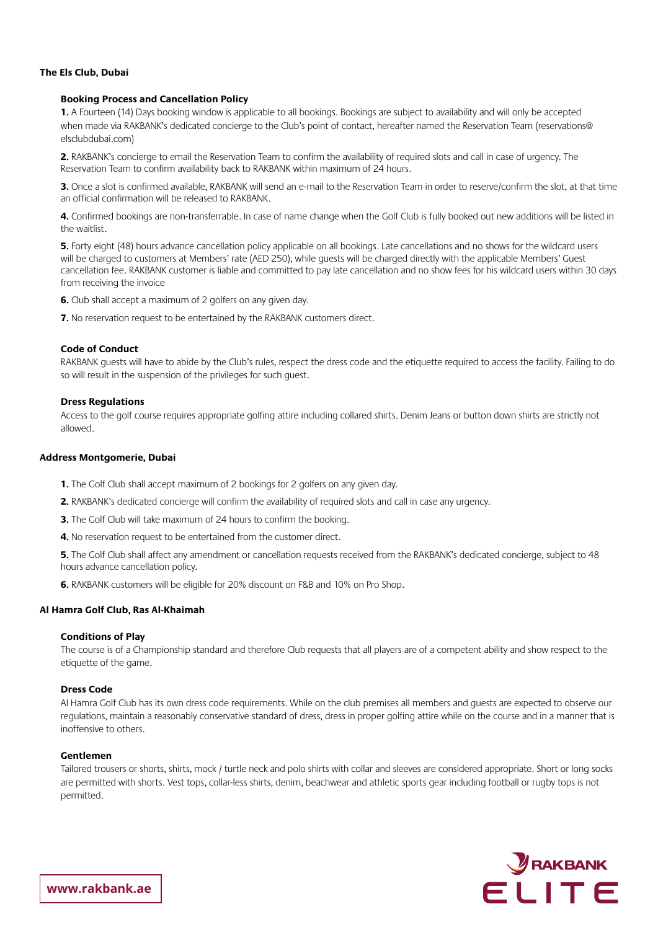## **The Els Club, Dubai**

#### **Booking Process and Cancellation Policy**

1. A Fourteen (14) Days booking window is applicable to all bookings. Bookings are subject to availability and will only be accepted when made via RAKBANK's dedicated concierge to the Club's point of contact, hereafter named the Reservation Team (reservations@ elsclubdubai.com)

2. RAKBANK's concierge to email the Reservation Team to confirm the availability of required slots and call in case of urgency. The Reservation Team to confirm availability back to RAKBANK within maximum of 24 hours.

3. Once a slot is confirmed available, RAKBANK will send an e-mail to the Reservation Team in order to reserve/confirm the slot, at that time an official confirmation will be released to RAKBANK.

4. Confirmed bookings are non-transferrable. In case of name change when the Golf Club is fully booked out new additions will be listed in the waitlist

5. Forty eight (48) hours advance cancellation policy applicable on all bookings. Late cancellations and no shows for the wildcard users will be charged to customers at Members' rate (AED 250), while quests will be charged directly with the applicable Members' Guest cancellation fee. RAKBANK customer is liable and committed to pay late cancellation and no show fees for his wildcard users within 30 days from receiving the invoice

**6.** Club shall accept a maximum of 2 golfers on any given day.

7. No reservation request to be entertained by the RAKBANK customers direct.

#### **Code of Conduct**

RAKBANK quests will have to abide by the Club's rules, respect the dress code and the etiquette required to access the facility. Failing to do so will result in the suspension of the privileges for such quest.

#### **Dress Regulations**

Access to the golf course requires appropriate golfing attire including collared shirts. Denim Jeans or button down shirts are strictly not allowed.

#### **Address Montgomerie, Dubai**

- 1. The Golf Club shall accept maximum of 2 bookings for 2 golfers on any given day.
- 2. RAKBANK's dedicated concierge will confirm the availability of required slots and call in case any urgency.
- **3.** The Golf Club will take maximum of 24 hours to confirm the booking.
- 4. No reservation request to be entertained from the customer direct.

5. The Golf Club shall affect any amendment or cancellation requests received from the RAKBANK's dedicated concierge, subject to 48 hours advance cancellation policy.

6. RAKBANK customers will be eligible for 20% discount on F&B and 10% on Pro Shop.

#### **Al Hamra Golf Club, Ras Al-Khaimah**

#### **Conditions of Play**

The course is of a Championship standard and therefore Club requests that all players are of a competent ability and show respect to the etiquette of the game.

#### **Dress Code**

AI Hamra Golf Club has its own dress code requirements. While on the club premises all members and guests are expected to observe our requlations, maintain a reasonably conservative standard of dress, dress in proper golfing attire while on the course and in a manner that is inoffensive to others.

#### **Gentlemen**

Tailored trousers or shorts, shirts, mock / turtle neck and polo shirts with collar and sleeves are considered appropriate. Short or long socks are permitted with shorts. Vest tops, collar-less shirts, denim, beachwear and athletic sports gear including football or rugby tops is not permitted.



www.rakbank.ae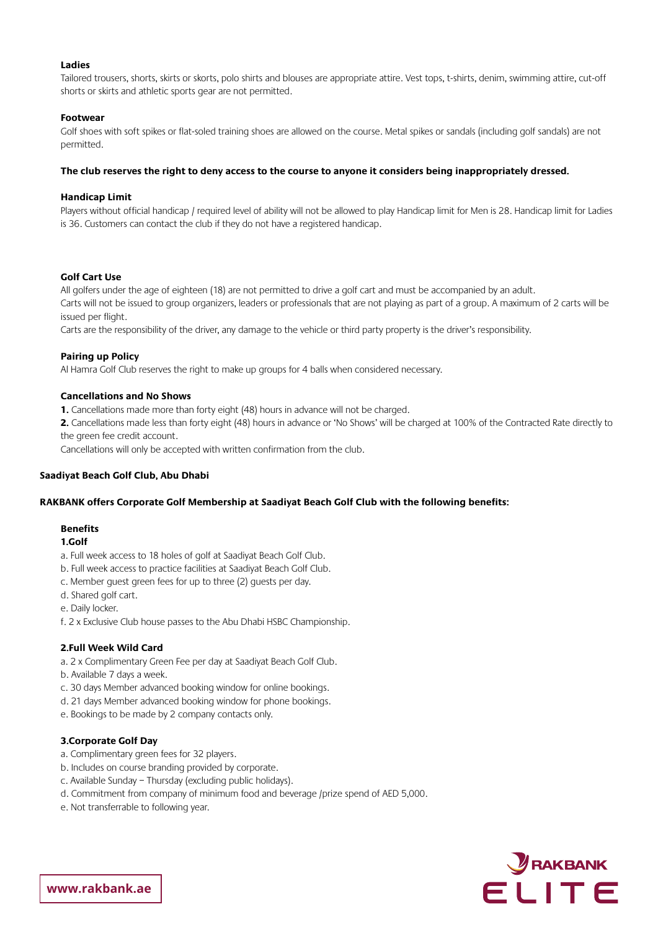## **Ladies**

Tailored trousers, shorts, skirts or skorts, polo shirts and blouses are appropriate attire. Vest tops, t-shirts, denim, swimming attire, cut-off shorts or skirts and athletic sports gear are not permitted.

## **Footwear**

Golf shoes with soft spikes or flat-soled training shoes are allowed on the course. Metal spikes or sandals (including golf sandals) are not .permitted

## The club reserves the right to deny access to the course to anyone it considers being inappropriately dressed.

#### **Limit Handicap**

Players without official handicap / required level of ability will not be allowed to play Handicap limit for Men is 28. Handicap limit for Ladies is 36. Customers can contact the club if they do not have a registered handicap.

#### **Golf** Cart Use

All golfers under the age of eighteen (18) are not permitted to drive a golf cart and must be accompanied by an adult. Carts will not be issued to group organizers, leaders or professionals that are not playing as part of a group. A maximum of 2 carts will be issued per flight.

Carts are the responsibility of the driver, any damage to the vehicle or third party property is the driver's responsibility.

## **Pairing up Policy**

AI Hamra Golf Club reserves the right to make up groups for 4 balls when considered necessary.

#### **Cancellations and No Shows**

1. Cancellations made more than forty eight (48) hours in advance will not be charged.

2. Cancellations made less than forty eight (48) hours in advance or 'No Shows' will be charged at 100% of the Contracted Rate directly to the green fee credit account.

Cancellations will only be accepted with written confirmation from the club.

#### **Saadiyat Beach Golf Club, Abu Dhabi**

#### RAKBANK offers Corporate Golf Membership at Saadiyat Beach Golf Club with the following benefits:

## **Benefits**

#### 1.Golf

- a. Full week access to 18 holes of golf at Saadiyat Beach Golf Club.
- b. Full week access to practice facilities at Saadiyat Beach Golf Club.
- c. Member guest green fees for up to three (2) guests per day.
- d. Shared golf cart.
- e. Daily locker.
- f. 2 x Exclusive Club house passes to the Abu Dhabi HSBC Championship.

#### **2. Full Week Wild Card**

- a. 2 x Complimentary Green Fee per day at Saadiyat Beach Golf Club.
- b. Available 7 days a week.
- c. 30 days Member advanced booking window for online bookings.
- d. 21 days Member advanced booking window for phone bookings.
- e. Bookings to be made by 2 company contacts only.

#### **3. Corporate Golf Day**

- a. Complimentary green fees for 32 players.
- b. Includes on course branding provided by corporate.
- c. Available Sunday Thursday (excluding public holidays).
- d. Commitment from company of minimum food and beverage /prize spend of AED 5,000.
- e. Not transferrable to following year.